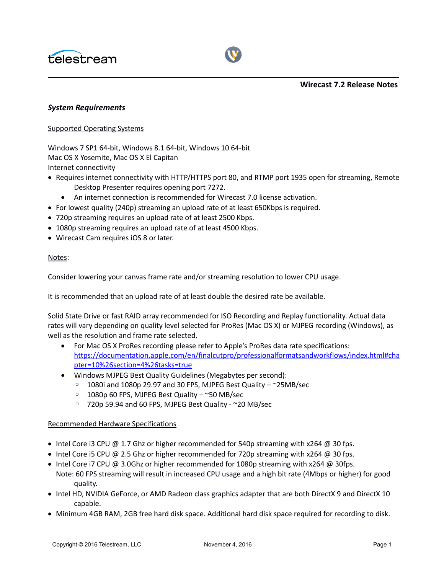



**Wirecast 7.2 Release Notes**

#### *System Requirements*

#### Supported Operating Systems

Windows 7 SP1 64-bit, Windows 8.1 64-bit, Windows 10 64-bit Mac OS X Yosemite, Mac OS X El Capitan Internet connectivity

- Requires internet connectivity with HTTP/HTTPS port 80, and RTMP port 1935 open for streaming, Remote Desktop Presenter requires opening port 7272.
	- An internet connection is recommended for Wirecast 7.0 license activation.
- For lowest quality (240p) streaming an upload rate of at least 650Kbps is required.
- 720p streaming requires an upload rate of at least 2500 Kbps.
- 1080p streaming requires an upload rate of at least 4500 Kbps.
- Wirecast Cam requires iOS 8 or later.

#### Notes:

Consider lowering your canvas frame rate and/or streaming resolution to lower CPU usage.

It is recommended that an upload rate of at least double the desired rate be available.

Solid State Drive or fast RAID array recommended for ISO Recording and Replay functionality. Actual data rates will vary depending on quality level selected for ProRes (Mac OS X) or MJPEG recording (Windows), as well as the resolution and frame rate selected.

- For Mac OS X ProRes recording please refer to Apple's ProRes data rate specifications: [https://documentation.apple.com/en/finalcutpro/professionalformatsandworkflows/index.html#cha](https://documentation.apple.com/en/finalcutpro/professionalformatsandworkflows/index.html#chapter=10%26section=4%26tasks=true) [pter=10%26section=4%26tasks=true](https://documentation.apple.com/en/finalcutpro/professionalformatsandworkflows/index.html#chapter=10%26section=4%26tasks=true)
- Windows MJPEG Best Quality Guidelines (Megabytes per second):
	- 1080i and 1080p 29.97 and 30 FPS, MJPEG Best Quality ~25MB/sec
	- 1080p 60 FPS, MJPEG Best Quality ~50 MB/sec
	- 720p 59.94 and 60 FPS, MJPEG Best Quality ~20 MB/sec

#### Recommended Hardware Specifications

- Intel Core i3 CPU @ 1.7 Ghz or higher recommended for 540p streaming with  $x264$  @ 30 fps.
- Intel Core i5 CPU @ 2.5 Ghz or higher recommended for 720p streaming with  $x264$  @ 30 fps.
- $\bullet$  Intel Core i7 CPU @ 3.0Ghz or higher recommended for 1080p streaming with x264 @ 30fps. Note: 60 FPS streaming will result in increased CPU usage and a high bit rate (4Mbps or higher) for good quality.
- Intel HD, NVIDIA GeForce, or AMD Radeon class graphics adapter that are both DirectX 9 and DirectX 10 capable.
- Minimum 4GB RAM, 2GB free hard disk space. Additional hard disk space required for recording to disk.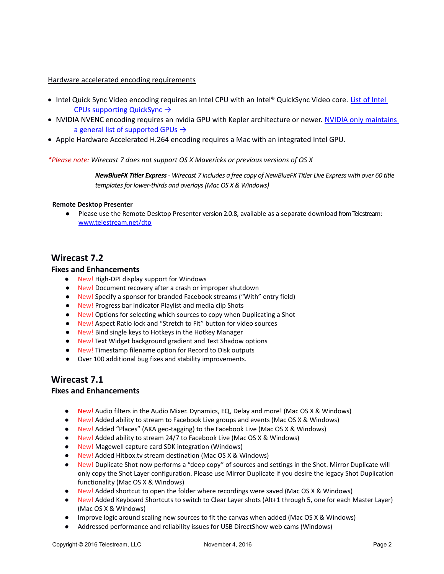#### Hardware accelerated encoding requirements

- Intel Quick Sync Video encoding requires an Intel CPU with an Intel® QuickSync Video core. List of Intel  [CPUs supporting QuickSync](http://ark.intel.com/search/advanced?QuickSyncVideo=true&MarketSegment=DT) →
- . NVIDIA NVENC encoding requires an nvidia GPU with Kepler architecture or newer. NVIDIA only maintains a general list of supported GPUs  $\rightarrow$
- Apple Hardware Accelerated H.264 encoding requires a Mac with an integrated Intel GPU.

#### *\*Please note: Wirecast 7 does not support OS X Mavericks or previous versions of OS X*

*NewBlueFX Titler Express - Wirecast 7 includes a free copy of NewBlueFX Titler Live Express with over 60 title templates for lower-thirds and overlays (Mac OS X & Windows)*

#### **Remote Desktop Presenter**

● Please use the Remote Desktop Presenter version 2.0.8, available as a separate download from Telestream: www.telestream.net/dtp

## **Wirecast 7.2**

#### **Fixes and Enhancements**

- New! High-DPI display support for Windows
- New! Document recovery after a crash or improper shutdown
- New! Specify a sponsor for branded Facebook streams ("With" entry field)
- New! Progress bar indicator Playlist and media clip Shots
- New! Options for selecting which sources to copy when Duplicating a Shot
- New! Aspect Ratio lock and "Stretch to Fit" button for video sources
- New! Bind single keys to Hotkeys in the Hotkey Manager
- New! Text Widget background gradient and Text Shadow options
- New! Timestamp filename option for Record to Disk outputs
- Over 100 additional bug fixes and stability improvements.

# **Wirecast 7.1**

### **Fixes and Enhancements**

- New! Audio filters in the Audio Mixer. Dynamics, EQ, Delay and more! (Mac OS X & Windows)
- New! Added ability to stream to Facebook Live groups and events (Mac OS X & Windows)
- New! Added "Places" (AKA geo-tagging) to the Facebook Live (Mac OS X & Windows)
- New! Added ability to stream 24/7 to Facebook Live (Mac OS X & Windows)
- New! Magewell capture card SDK integration (Windows)
- New! Added Hitbox.tv stream destination (Mac OS X & Windows)
- New! Duplicate Shot now performs a "deep copy" of sources and settings in the Shot. Mirror Duplicate will only copy the Shot Layer configuration. Please use Mirror Duplicate if you desire the legacy Shot Duplication functionality (Mac OS X & Windows)
- New! Added shortcut to open the folder where recordings were saved (Mac OS X & Windows)
- New! Added Keyboard Shortcuts to switch to Clear Layer shots (Alt+1 through 5, one for each Master Layer) (Mac OS X & Windows)
- Improve logic around scaling new sources to fit the canvas when added (Mac OS X & Windows)
- Addressed performance and reliability issues for USB DirectShow web cams (Windows)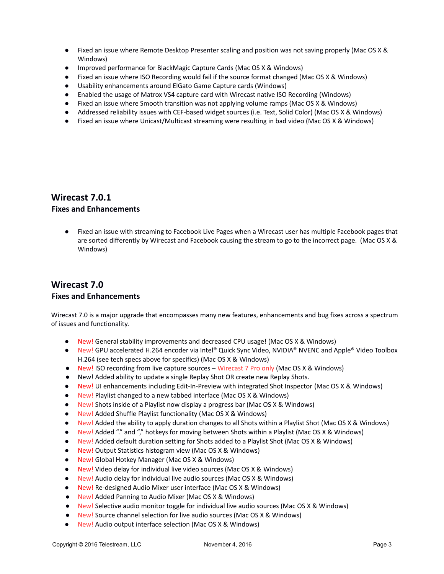- Fixed an issue where Remote Desktop Presenter scaling and position was not saving properly (Mac OS X & Windows)
- Improved performance for BlackMagic Capture Cards (Mac OS X & Windows)
- Fixed an issue where ISO Recording would fail if the source format changed (Mac OS X & Windows)
- Usability enhancements around ElGato Game Capture cards (Windows)
- Enabled the usage of Matrox VS4 capture card with Wirecast native ISO Recording (Windows)
- Fixed an issue where Smooth transition was not applying volume ramps (Mac OS X & Windows)
- Addressed reliability issues with CEF-based widget sources (i.e. Text, Solid Color) (Mac OS X & Windows)
- Fixed an issue where Unicast/Multicast streaming were resulting in bad video (Mac OS X & Windows)

# **Wirecast 7.0.1**

## **Fixes and Enhancements**

● Fixed an issue with streaming to Facebook Live Pages when a Wirecast user has multiple Facebook pages that are sorted differently by Wirecast and Facebook causing the stream to go to the incorrect page. (Mac OS X & Windows)

## **Wirecast 7.0 Fixes and Enhancements**

Wirecast 7.0 is a major upgrade that encompasses many new features, enhancements and bug fixes across a spectrum of issues and functionality.

- New! General stability improvements and decreased CPU usage! (Mac OS X & Windows)
- New! GPU accelerated H.264 encoder via Intel® Quick Sync Video, NVIDIA® NVENC and Apple® Video Toolbox H.264 (see tech specs above for specifics) (Mac OS X & Windows)
- New! ISO recording from live capture sources Wirecast 7 Pro only (Mac OS X & Windows)
- New! Added ability to update a single Replay Shot OR create new Replay Shots.
- New! UI enhancements including Edit-In-Preview with integrated Shot Inspector (Mac OS X & Windows)
- New! Playlist changed to a new tabbed interface (Mac OS X & Windows)
- New! Shots inside of a Playlist now display a progress bar (Mac OS X & Windows)
- New! Added Shuffle Playlist functionality (Mac OS X & Windows)
- New! Added the ability to apply duration changes to all Shots within a Playlist Shot (Mac OS X & Windows)
- New! Added "." and "," hotkeys for moving between Shots within a Playlist (Mac OS X & Windows)
- New! Added default duration setting for Shots added to a Playlist Shot (Mac OS X & Windows)
- New! Output Statistics histogram view (Mac OS X & Windows)
- New! Global Hotkey Manager (Mac OS X & Windows)
- New! Video delay for individual live video sources (Mac OS X & Windows)
- New! Audio delay for individual live audio sources (Mac OS X & Windows)
- New! Re-designed Audio Mixer user interface (Mac OS X & Windows)
- New! Added Panning to Audio Mixer (Mac OS X & Windows)
- New! Selective audio monitor toggle for individual live audio sources (Mac OS X & Windows)
- New! Source channel selection for live audio sources (Mac OS X & Windows)
- New! Audio output interface selection (Mac OS X & Windows)